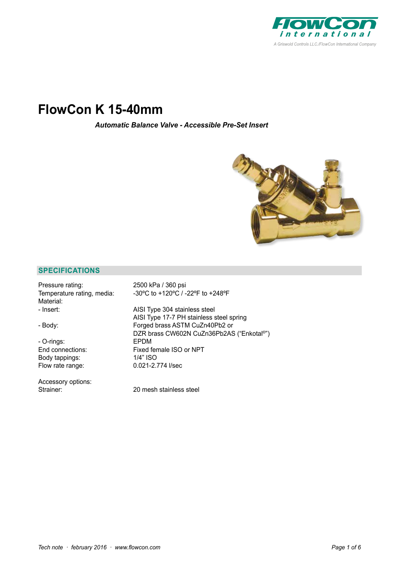

# **FlowCon K 15-40mm**

*Automatic Balance Valve - Accessible Pre-Set Insert*



# **SPECIFICATIONS**

| Pressure rating:           | 2500 kPa / 360 psi                        |
|----------------------------|-------------------------------------------|
| Temperature rating, media: | -30°C to +120°C / -22°F to +248°F         |
| Material:                  |                                           |
| - Insert:                  | AISI Type 304 stainless steel             |
|                            | AISI Type 17-7 PH stainless steel spring  |
| - Body:                    | Forged brass ASTM CuZn40Pb2 or            |
|                            | DZR brass CW602N CuZn36Pb2AS ("Enkotal®") |
| - O-rings:                 | <b>EPDM</b>                               |
| End connections:           | Fixed female ISO or NPT                   |
| Body tappings:             | 1/4" ISO                                  |
| Flow rate range:           | 0.021-2.774 l/sec                         |
| Accessory options:         |                                           |
| Strainer:                  | 20 mesh stainless steel                   |
|                            |                                           |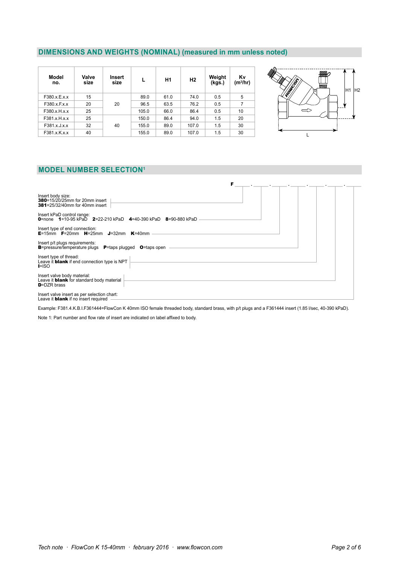# **DIMENSIONS AND WEIGHTS (NOMINAL) (measured in mm unless noted)**

| Model<br>no. | Valve<br>size | Insert<br>size |       | H1   | H <sub>2</sub> | Weight<br>(kgs.) | Κv<br>(m <sup>3</sup> /hr) |
|--------------|---------------|----------------|-------|------|----------------|------------------|----------------------------|
| F380.x.E.x.x | 15            | 20             | 89.0  | 61.0 | 74.0           | 0.5              | 5                          |
| F380.x.F.x.x | 20            |                | 96.5  | 63.5 | 76.2           | 0.5              | 7                          |
| F380.x.H.x.x | 25            |                | 105.0 | 66.0 | 86.4           | 0.5              | 10                         |
| F381.x.H.x.x | 25            | 40             | 150.0 | 86.4 | 94.0           | 1.5              | 20                         |
| F381.x.J.x.x | 32            |                | 155.0 | 89.0 | 107.0          | 1.5              | 30                         |
| F381.x.K.x.x | 40            |                | 155.0 | 89.0 | 107.0          | 1.5              | 30                         |



# **MODEL NUMBER SELECTION1**

| F                                                                                                                                   |
|-------------------------------------------------------------------------------------------------------------------------------------|
| Insert body size:<br><b>380</b> =15/20/25mm for 20mm insert<br><b>381</b> =25/32/40mm for 40mm insert                               |
| Insert kPaD control range:<br><b>0</b> =none <b>1</b> =10-95 kPaD <b>2</b> =22-210 kPaD <b>4</b> =40-390 kPaD <b>8</b> =90-880 kPaD |
| Insert type of end connection:<br><b>E</b> =15mm <b>F</b> =20mm <b>H</b> =25mm <b>J</b> =32mm <b>K</b> =40mm                        |
| Insert p/t plugs requirements:<br><b>B</b> =pressure/temperature plugs <b>P</b> =taps plugged<br><b>O</b> =taps open                |
| Insert type of thread:<br>Leave it <b>blank</b> if end connection type is NPT<br>$I = ISO$                                          |
| Insert valve body material:<br>Leave it <b>blank</b> for standard body material<br>$D = DZR$ brass                                  |
| Insert valve insert as per selection chart:<br>Leave it <b>blank</b> if no insert required                                          |

Example: F381.4.K.B.I.F361444=FlowCon K 40mm ISO female threaded body, standard brass, with p/t plugs and a F361444 insert (1.85 l/sec, 40-390 kPaD).

Note 1: Part number and flow rate of insert are indicated on label affixed to body.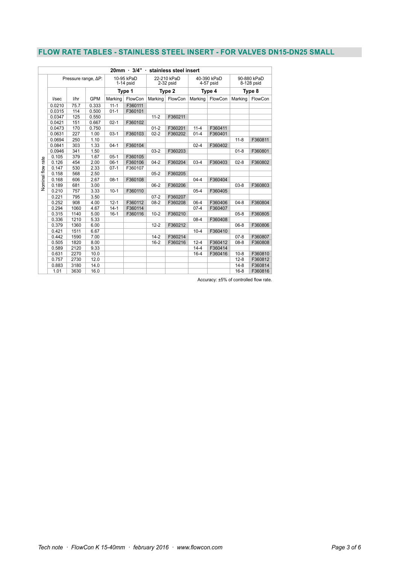## **FLOW RATE TABLES - STAINLESS STEEL INSERT - FOR VALVES DN15-DN25 SMALL**

| 20mm · 3/4" · stainless steel insert |                     |      |                                     |          |                                    |          |                                    |          |                                     |          |         |
|--------------------------------------|---------------------|------|-------------------------------------|----------|------------------------------------|----------|------------------------------------|----------|-------------------------------------|----------|---------|
|                                      | Pressure range, AP: |      | 10-95 kPaD<br>$1-14$ psid<br>Type 1 |          | 22-210 kPaD<br>2-32 psid<br>Type 2 |          | 40-390 kPaD<br>4-57 psid<br>Type 4 |          | 90-880 kPaD<br>8-128 psid<br>Type 8 |          |         |
|                                      |                     |      |                                     |          |                                    |          |                                    |          |                                     |          |         |
|                                      | l/sec               | l/hr | <b>GPM</b>                          | Marking  | FlowCon                            | Marking  | FlowCon                            | Marking  | FlowCon                             | Marking  | FlowCon |
|                                      | 0.0210              | 75.7 | 0.333                               | $11 - 1$ | F360111                            |          |                                    |          |                                     |          |         |
|                                      | 0.0315              | 114  | 0.500                               | $01 - 1$ | F360101                            |          |                                    |          |                                     |          |         |
|                                      | 0.0347              | 125  | 0.550                               |          |                                    | $11 - 2$ | F360211                            |          |                                     |          |         |
|                                      | 0.0421              | 151  | 0.667                               | $02-1$   | F360102                            |          |                                    |          |                                     |          |         |
|                                      | 0.0473              | 170  | 0.750                               |          |                                    | $01 - 2$ | F360201                            | $11 - 4$ | F360411                             |          |         |
|                                      | 0.0631              | 227  | 1.00                                | $03-1$   | F360103                            | $02 - 2$ | F360202                            | $01 - 4$ | F360401                             |          |         |
|                                      | 0.0694              | 250  | 1.10                                |          |                                    |          |                                    |          |                                     | $11 - 8$ | F360811 |
|                                      | 0.0841              | 303  | 1.33                                | $04-1$   | F360104                            |          |                                    | $02 - 4$ | F360402                             |          |         |
|                                      | 0.0946              | 341  | 1.50                                |          |                                    | $03-2$   | F360203                            |          |                                     | $01 - 8$ | F360801 |
|                                      | 0.105               | 379  | 1.67                                | $05-1$   | F360105                            |          |                                    |          |                                     |          |         |
|                                      | 0.126               | 454  | 2.00                                | $06-1$   | F360106                            | $04 - 2$ | F360204                            | $03-4$   | F360403                             | $02 - 8$ | F360802 |
|                                      | 0.147               | 530  | 2.33                                | $07-1$   | F360107                            |          |                                    |          |                                     |          |         |
|                                      | 0.158               | 568  | 2.50                                |          |                                    | $05 - 2$ | F360205                            |          |                                     |          |         |
|                                      | 0.168               | 606  | 2.67                                | $08-1$   | F360108                            |          |                                    | $04 - 4$ | F360404                             |          |         |
| Nominal flow rate                    | 0.189               | 681  | 3.00                                |          |                                    | $06 - 2$ | F360206                            |          |                                     | $03-8$   | F360803 |
|                                      | 0.210               | 757  | 3.33                                | $10-1$   | F360110                            |          |                                    | $05 - 4$ | F360405                             |          |         |
|                                      | 0.221               | 795  | 3.50                                |          |                                    | $07 - 2$ | F360207                            |          |                                     |          |         |
|                                      | 0.252               | 908  | 4.00                                | $12 - 1$ | F360112                            | $08 - 2$ | F360208                            | $06-4$   | F360406                             | $04 - 8$ | F360804 |
|                                      | 0.294               | 1060 | 4.67                                | $14-1$   | F360114                            |          |                                    | $07 - 4$ | F360407                             |          |         |
|                                      | 0.315               | 1140 | 5.00                                | $16-1$   | F360116                            | $10-2$   | F360210                            |          |                                     | $05 - 8$ | F360805 |
|                                      | 0.336               | 1210 | 5.33                                |          |                                    |          |                                    | $08 - 4$ | F360408                             |          |         |
|                                      | 0.379               | 1360 | 6.00                                |          |                                    | $12 - 2$ | F360212                            |          |                                     | $06 - 8$ | F360806 |
|                                      | 0.421               | 1511 | 6.67                                |          |                                    |          |                                    | $10 - 4$ | F360410                             |          |         |
|                                      | 0.442               | 1590 | 7.00                                |          |                                    | $14 - 2$ | F360214                            |          |                                     | $07 - 8$ | F360807 |
|                                      | 0.505               | 1820 | 8.00                                |          |                                    | $16 - 2$ | F360216                            | $12 - 4$ | F360412                             | $08 - 8$ | F360808 |
|                                      | 0.589               | 2120 | 9.33                                |          |                                    |          |                                    | $14 - 4$ | F360414                             |          |         |
|                                      | 0.631               | 2270 | 10.0                                |          |                                    |          |                                    | $16 - 4$ | F360416                             | $10 - 8$ | F360810 |
|                                      | 0.757               | 2730 | 12.0                                |          |                                    |          |                                    |          |                                     | $12 - 8$ | F360812 |
|                                      | 0.883               | 3180 | 14.0                                |          |                                    |          |                                    |          |                                     | $14-8$   | F360814 |
|                                      | 1.01                | 3630 | 16.0                                |          |                                    |          |                                    |          |                                     | $16 - 8$ | F360816 |

Accuracy: ±5% of controlled flow rate.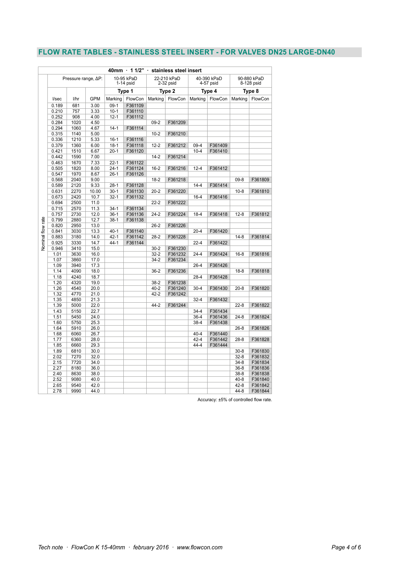## **FLOW RATE TABLES - STAINLESS STEEL INSERT - FOR VALVES DN25 LARGE-DN40**

|                          |              |                              |              |                           |         |                            | 40mm 11/2" stainless steel insert |                          |         |                           |         |  |
|--------------------------|--------------|------------------------------|--------------|---------------------------|---------|----------------------------|-----------------------------------|--------------------------|---------|---------------------------|---------|--|
|                          |              | Pressure range, $\Delta P$ : |              | 10-95 kPaD<br>$1-14$ psid |         | 22-210 kPaD<br>$2-32$ psid |                                   | 40-390 kPaD<br>4-57 psid |         | 90-880 kPaD<br>8-128 psid |         |  |
|                          |              |                              |              | Type 1                    |         | Type 2                     |                                   | Type 4                   |         | Type 8                    |         |  |
|                          | I/sec        | l/hr                         | <b>GPM</b>   | Marking                   | FlowCon | Marking                    | FlowCon                           | Marking                  | FlowCon | Marking                   | FlowCon |  |
|                          | 0.189        | 681                          | 3.00         | $09-1$                    | F361109 |                            |                                   |                          |         |                           |         |  |
|                          | 0.210        | 757                          | 3.33         | $10-1$                    | F361110 |                            |                                   |                          |         |                           |         |  |
|                          | 0.252        | 908                          | 4.00         | $12 - 1$                  | F361112 |                            |                                   |                          |         |                           |         |  |
|                          | 0.284        | 1020                         | 4.50         |                           |         | $09-2$                     | F361209                           |                          |         |                           |         |  |
|                          | 0.294        | 1060                         | 4.67         | $14-1$                    | F361114 |                            |                                   |                          |         |                           |         |  |
|                          | 0.315        | 1140                         | 5.00         |                           |         | $10 - 2$                   | F361210                           |                          |         |                           |         |  |
|                          | 0.336        | 1210                         | 5.33         | $16-1$                    | F361116 |                            |                                   |                          |         |                           |         |  |
|                          | 0.379        | 1360                         | 6.00         | $18-1$                    | F361118 | $12 - 2$                   | F361212                           | $09 - 4$                 | F361409 |                           |         |  |
|                          | 0.421        | 1510                         | 6.67         | $20 - 1$                  | F361120 |                            |                                   | $10 - 4$                 | F361410 |                           |         |  |
|                          | 0.442        | 1590                         | 7.00         |                           |         | $14 - 2$                   | F361214                           |                          |         |                           |         |  |
|                          | 0.463        | 1670                         | 7.33         | $22 - 1$                  | F361122 |                            |                                   |                          |         |                           |         |  |
|                          | 0.505        | 1820                         | 8.00         | $24-1$                    | F361124 | $16 - 2$                   | F361216                           | $12 - 4$                 | F361412 |                           |         |  |
|                          | 0.547        | 1970                         | 8.67         | $26-1$                    | F361126 |                            |                                   |                          |         |                           |         |  |
|                          | 0.568        | 2040                         | 9.00         |                           |         | $18-2$                     | F361218                           |                          |         | $09 - 8$                  | F361809 |  |
|                          | 0.589        | 2120                         | 9.33         | $28-1$                    | F361128 |                            |                                   | $14 - 4$                 | F361414 |                           |         |  |
|                          | 0.631        | 2270                         | 10.00        | $30-1$                    | F361130 | $20 - 2$                   | F361220                           |                          |         | $10 - 8$                  | F361810 |  |
|                          | 0.673        | 2420                         | 10.7         | $32 - 1$                  | F361132 |                            |                                   | $16-4$                   | F361416 |                           |         |  |
|                          | 0.694        | 2500                         | 11.0         |                           |         | $22 - 2$                   | F361222                           |                          |         |                           |         |  |
|                          | 0.715        | 2570                         | 11.3         | $34-1$                    | F361134 |                            |                                   |                          |         |                           |         |  |
|                          | 0.757        | 2730                         | 12.0         | $36-1$                    | F361136 | $24-2$                     | F361224                           | $18 - 4$                 | F361418 | $12 - 8$                  | F361812 |  |
|                          | 0.799        | 2880                         | 12.7         | $38-1$                    | F361138 |                            |                                   |                          |         |                           |         |  |
|                          | 0.820        | 2950                         | 13.0         |                           |         | $26 - 2$                   | F361226                           |                          |         |                           |         |  |
|                          | 0.841        | 3030                         | 13.3         | $40 - 1$                  | F361140 |                            |                                   | $20 - 4$                 | F361420 |                           |         |  |
|                          | 0.883        | 3180                         | 14.0         | $42 - 1$                  | F361142 | $28-2$                     | F361228                           |                          |         | $14-8$                    | F361814 |  |
| <b>Vominal flow rate</b> | 0.925        | 3330                         | 14.7         | $44 - 1$                  | F361144 |                            |                                   | $22 - 4$                 | F361422 |                           |         |  |
|                          | 0.946        | 3410                         | 15.0         |                           |         | $30 - 2$                   | F361230                           |                          |         |                           |         |  |
|                          | 1.01         | 3630                         | 16.0         |                           |         | $32 - 2$                   | F361232                           | $24 - 4$                 | F361424 | $16 - 8$                  | F361816 |  |
|                          | 1.07         | 3860                         | 17.0         |                           |         | $34-2$                     | F361234                           |                          |         |                           |         |  |
|                          | 1.09<br>1.14 | 3940<br>4090                 | 17.3<br>18.0 |                           |         | $36-2$                     | F361236                           | $26 - 4$                 | F361426 | $18 - 8$                  | F361818 |  |
|                          | 1.18         | 4240                         | 18.7         |                           |         |                            |                                   | $28 - 4$                 | F361428 |                           |         |  |
|                          | 1.20         | 4320                         | 19.0         |                           |         | $38 - 2$                   | F361238                           |                          |         |                           |         |  |
|                          | 1.26         | 4540                         | 20.0         |                           |         | $40 - 2$                   | F361240                           | $30 - 4$                 | F361430 | $20 - 8$                  | F361820 |  |
|                          | 1.32         | 4770                         | 21.0         |                           |         | $42 - 2$                   | F361242                           |                          |         |                           |         |  |
|                          | 1.35         | 4850                         | 21.3         |                           |         |                            |                                   | $32 - 4$                 | F361432 |                           |         |  |
|                          | 1.39         | 5000                         | 22.0         |                           |         | $44 - 2$                   | F361244                           |                          |         | $22 - 8$                  | F361822 |  |
|                          | 1.43         | 5150                         | 22.7         |                           |         |                            |                                   | $34 - 4$                 | F361434 |                           |         |  |
|                          | 1.51         | 5450                         | 24.0         |                           |         |                            |                                   | $36 - 4$                 | F361436 | $24 - 8$                  | F361824 |  |
|                          | 1.60         | 5750                         | 25.3         |                           |         |                            |                                   | $38 - 4$                 | F361438 |                           |         |  |
|                          | 1.64         | 5910                         | 26.0         |                           |         |                            |                                   |                          |         | $26 - 8$                  | F361826 |  |
|                          | 1.68         | 6060                         | 26.7         |                           |         |                            |                                   | $40 - 4$                 | F361440 |                           |         |  |
|                          | 1.77         | 6360                         | 28.0         |                           |         |                            |                                   | $42 - 4$                 | F361442 | $28 - 8$                  | F361828 |  |
|                          | 1.85         | 6660                         | 29.3         |                           |         |                            |                                   | $44 - 4$                 | F361444 |                           |         |  |
|                          | 1.89         | 6810                         | 30.0         |                           |         |                            |                                   |                          |         | $30 - 8$                  | F361830 |  |
|                          | 2.02         | 7270                         | 32.0         |                           |         |                            |                                   |                          |         | $32 - 8$                  | F361832 |  |
|                          | 2.15         | 7720                         | 34.0         |                           |         |                            |                                   |                          |         | $34 - 8$                  | F361834 |  |
|                          | 2.27         | 8180                         | 36.0         |                           |         |                            |                                   |                          |         | $36 - 8$                  | F361836 |  |
|                          | 2.40         | 8630                         | 38.0         |                           |         |                            |                                   |                          |         | $38 - 8$                  | F361838 |  |
|                          | 2.52         | 9080                         | 40.0         |                           |         |                            |                                   |                          |         | $40 - 8$                  | F361840 |  |
|                          | 2.65         | 9540                         | 42.0         |                           |         |                            |                                   |                          |         | $42 - 8$                  | F361842 |  |
|                          | 2.78         | 9990                         | 44.0         |                           |         |                            |                                   |                          |         | $44 - 8$                  | F361844 |  |

Accuracy: ±5% of controlled flow rate.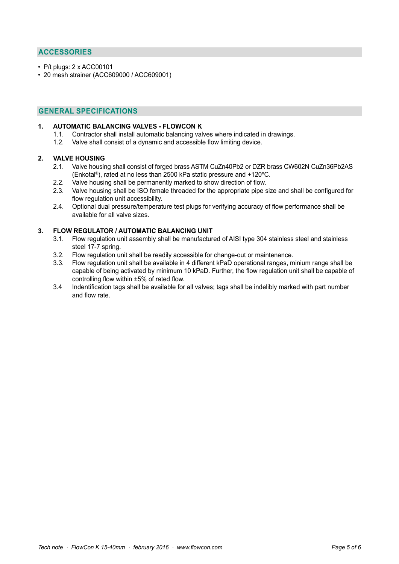## **ACCESSORIES**

- P/t plugs: 2 x ACC00101
- 20 mesh strainer (ACC609000 / ACC609001)

## **GENERAL SPECIFICATIONS**

#### **1. AUTOMATIC BALANCING VALVES - FLOWCON K**

- 1.1. Contractor shall install automatic balancing valves where indicated in drawings.
- 1.2. Valve shall consist of a dynamic and accessible flow limiting device.

#### **2. VALVE HOUSING**

- 2.1. Valve housing shall consist of forged brass ASTM CuZn40Pb2 or DZR brass CW602N CuZn36Pb2AS (Enkotal®), rated at no less than 2500 kPa static pressure and +120ºC.
- 2.2. Valve housing shall be permanently marked to show direction of flow.
- 2.3. Valve housing shall be ISO female threaded for the appropriate pipe size and shall be configured for flow regulation unit accessibility.
- 2.4. Optional dual pressure/temperature test plugs for verifying accuracy of flow performance shall be available for all valve sizes.

### **3. FLOW REGULATOR / AUTOMATIC BALANCING UNIT**

- 3.1. Flow regulation unit assembly shall be manufactured of AISI type 304 stainless steel and stainless steel 17-7 spring.<br>3.2. Flow regulation up
- Flow regulation unit shall be readily accessible for change-out or maintenance.
- 3.3. Flow regulation unit shall be available in 4 different kPaD operational ranges, minium range shall be capable of being activated by minimum 10 kPaD. Further, the flow regulation unit shall be capable of controlling flow within ±5% of rated flow.
- 3.4 Indentification tags shall be available for all valves; tags shall be indelibly marked with part number and flow rate.